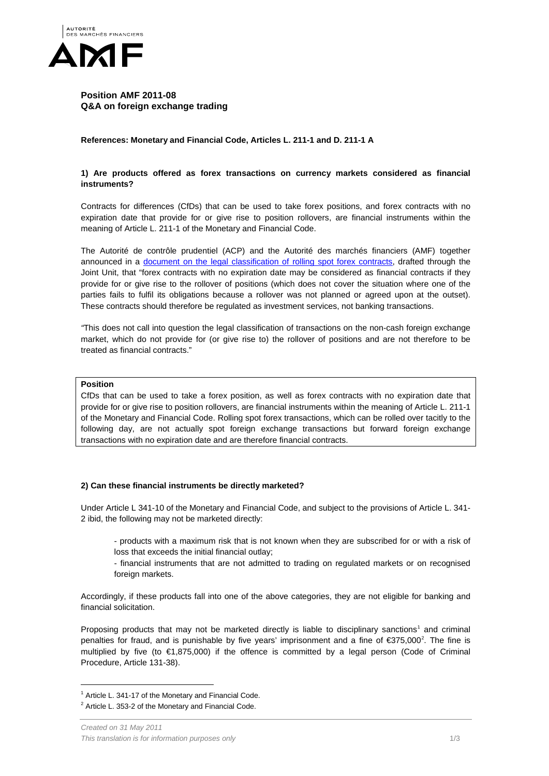

# **Position AMF 2011-08 Q&A on foreign exchange trading**

**References: Monetary and Financial Code, Articles L. 211-1 and D. 211-1 A**

# **1) Are products offered as forex transactions on currency markets considered as financial instruments?**

Contracts for differences (CfDs) that can be used to take forex positions, and forex contracts with no expiration date that provide for or give rise to position rollovers, are financial instruments within the meaning of Article L. 211-1 of the Monetary and Financial Code.

The Autorité de contrôle prudentiel (ACP) and the Autorité des marchés financiers (AMF) together announced in a document on the legal classification of rolling spot forex contracts, drafted through the Joint Unit, that "forex contracts with no expiration date may be considered as financial contracts if they provide for or give rise to the rollover of positions (which does not cover the situation where one of the parties fails to fulfil its obligations because a rollover was not planned or agreed upon at the outset). These contracts should therefore be regulated as investment services, not banking transactions.

*"*This does not call into question the legal classification of transactions on the non-cash foreign exchange market, which do not provide for (or give rise to) the rollover of positions and are not therefore to be treated as financial contracts."

# **Position**

CfDs that can be used to take a forex position, as well as forex contracts with no expiration date that provide for or give rise to position rollovers, are financial instruments within the meaning of Article L. 211-1 of the Monetary and Financial Code. Rolling spot forex transactions, which can be rolled over tacitly to the following day, are not actually spot foreign exchange transactions but forward foreign exchange transactions with no expiration date and are therefore financial contracts.

## **2) Can these financial instruments be directly marketed?**

Under Article L 341-10 of the Monetary and Financial Code, and subject to the provisions of Article L. 341- 2 ibid, the following may not be marketed directly:

- products with a maximum risk that is not known when they are subscribed for or with a risk of loss that exceeds the initial financial outlay;

- financial instruments that are not admitted to trading on regulated markets or on recognised foreign markets.

<span id="page-0-2"></span>Accordingly, if these products fall into one of the above categories, they are not eligible for banking and financial solicitation.

Proposing products that may not be marketed directly is liable to disciplinary sanctions<sup>[1](#page-0-0)</sup> and criminal penalties for fraud, and is punishable by five years' imprisonment and a fine of  $\epsilon$ 375,000<sup>[2](#page-0-1)</sup>. The fine is multiplied by five (to €1,875,000) if the offence is committed by a legal person (Code of Criminal Procedure, Article 131-38).

<span id="page-0-0"></span> $1$  Article L. 341-17 of the Monetary and Financial Code.

<span id="page-0-1"></span> $2$  Article L. 353-2 of the Monetary and Financial Code.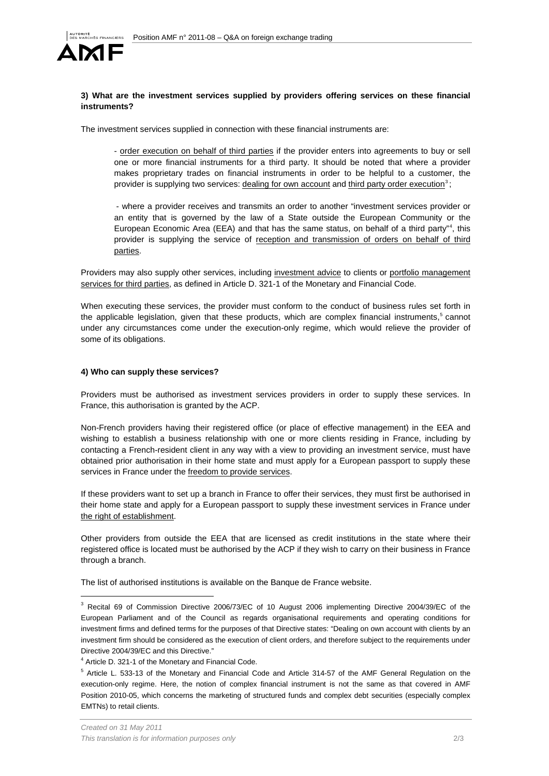

## **3) What are the investment services supplied by providers offering services on these financial instruments?**

The investment services supplied in connection with these financial instruments are:

- order execution on behalf of third parties if the provider enters into agreements to buy or sell one or more financial instruments for a third party. It should be noted that where a provider makes proprietary trades on financial instruments in order to be helpful to a customer, the provider is supplying two services: dealing for own account and third party order execution<sup>[3](#page-0-2)</sup>;

- where a provider receives and transmits an order to another "investment services provider or an entity that is governed by the law of a State outside the European Community or the European Economic Area (EEA) and that has the same status, on behalf of a third party"<sup>[4](#page-1-0)</sup>, this provider is supplying the service of reception and transmission of orders on behalf of third parties.

Providers may also supply other services, including investment advice to clients or portfolio management services for third parties, as defined in Article D. 321-1 of the Monetary and Financial Code.

When executing these services, the provider must conform to the conduct of business rules set forth in the applicable legislation, given that these products, which are complex financial instruments,<sup>[5](#page-1-1)</sup> cannot under any circumstances come under the execution-only regime, which would relieve the provider of some of its obligations.

#### **4) Who can supply these services?**

Providers must be authorised as investment services providers in order to supply these services. In France, this authorisation is granted by the ACP.

Non-French providers having their registered office (or place of effective management) in the EEA and wishing to establish a business relationship with one or more clients residing in France, including by contacting a French-resident client in any way with a view to providing an investment service, must have obtained prior authorisation in their home state and must apply for a European passport to supply these services in France under the freedom to provide services.

If these providers want to set up a branch in France to offer their services, they must first be authorised in their home state and apply for a European passport to supply these investment services in France under the right of establishment.

Other providers from outside the EEA that are licensed as credit institutions in the state where their registered office is located must be authorised by the ACP if they wish to carry on their business in France through a branch.

The list of authorised institutions is available on the Banque de France website.

 <sup>3</sup> Recital 69 of Commission Directive 2006/73/EC of 10 August 2006 implementing Directive 2004/39/EC of the European Parliament and of the Council as regards organisational requirements and operating conditions for investment firms and defined terms for the purposes of that Directive states: "Dealing on own account with clients by an investment firm should be considered as the execution of client orders, and therefore subject to the requirements under Directive 2004/39/EC and this Directive."

<span id="page-1-0"></span><sup>4</sup> Article D. 321-1 of the Monetary and Financial Code.

<span id="page-1-1"></span><sup>5</sup> Article L. 533-13 of the Monetary and Financial Code and Article 314-57 of the AMF General Regulation on the execution-only regime. Here, the notion of complex financial instrument is not the same as that covered in AMF Position 2010-05, which concerns the marketing of structured funds and complex debt securities (especially complex EMTNs) to retail clients.